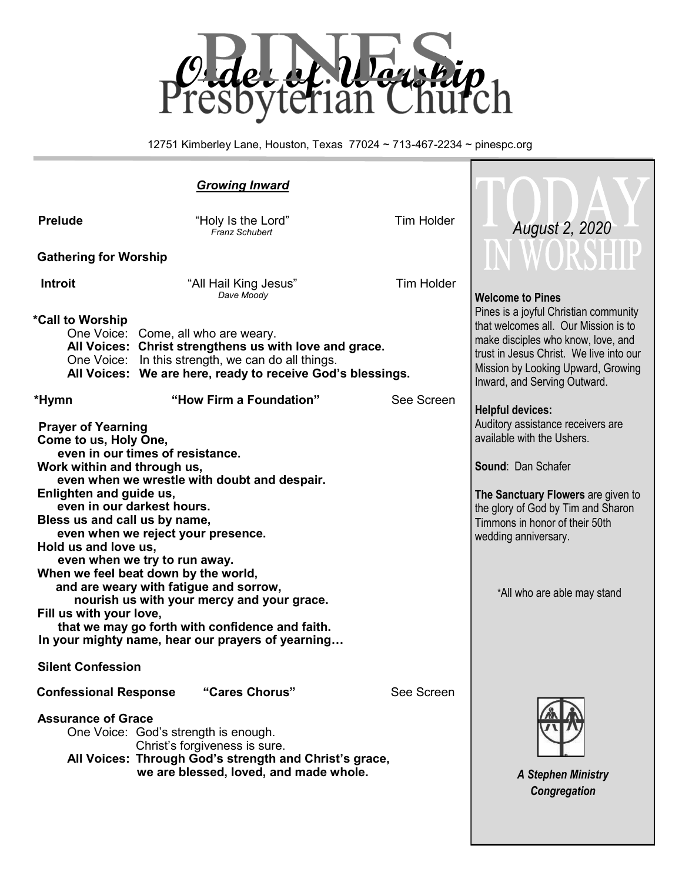

12751 Kimberley Lane, Houston, Texas 77024 ~ 713-467-2234 ~ pinespc.org

#### *Growing Inward* **Prelude** *m Prelude Prelude Prelude m Prelude m Prelude m Preluder Preluder Preluder Preluder Preluder Preductional <b><i>Preluder Preductional <b>Preduction Pre Franz Schubert*  **Gathering for Worship Introit Contract All Hail King Jesus Tim Holder** *Dave Moody*  **\*Call to Worship**  One Voice: Come, all who are weary. **All Voices: Christ strengthens us with love and grace.** One Voice: In this strength, we can do all things. **All Voices: We are here, ready to receive God's blessings. \*Hymn "How Firm a Foundation"** See Screen **Prayer of Yearning Come to us, Holy One, even in our times of resistance. Work within and through us, even when we wrestle with doubt and despair. Enlighten and guide us, even in our darkest hours. Bless us and call us by name, even when we reject your presence. Hold us and love us, even when we try to run away. When we feel beat down by the world, and are weary with fatigue and sorrow, nourish us with your mercy and your grace. Fill us with your love, that we may go forth with confidence and faith. In your mighty name, hear our prayers of yearning… Silent Confession Confessional Response "Cares Chorus"** See Screen **Assurance of Grace** One Voice: God's strength is enough. Christ's forgiveness is sure. **All Voices: Through God's strength and Christ's grace, we are blessed, loved, and made whole. Welcome to Pines** Pines is a joyful Christian community that welcomes all. Our Mission is to make disciples who know, love, and trust in Jesus Christ. We live into our Mission by Looking Upward, Growing Inward, and Serving Outward. **Helpful devices:** Auditory assistance receivers are available with the Ushers. **Sound**: Dan Schafer **The Sanctuary Flowers** are given to the glory of God by Tim and Sharon Timmons in honor of their 50th wedding anniversary. \*All who are able may stand *A Stephen Ministry August 2, 2020*

*Congregation*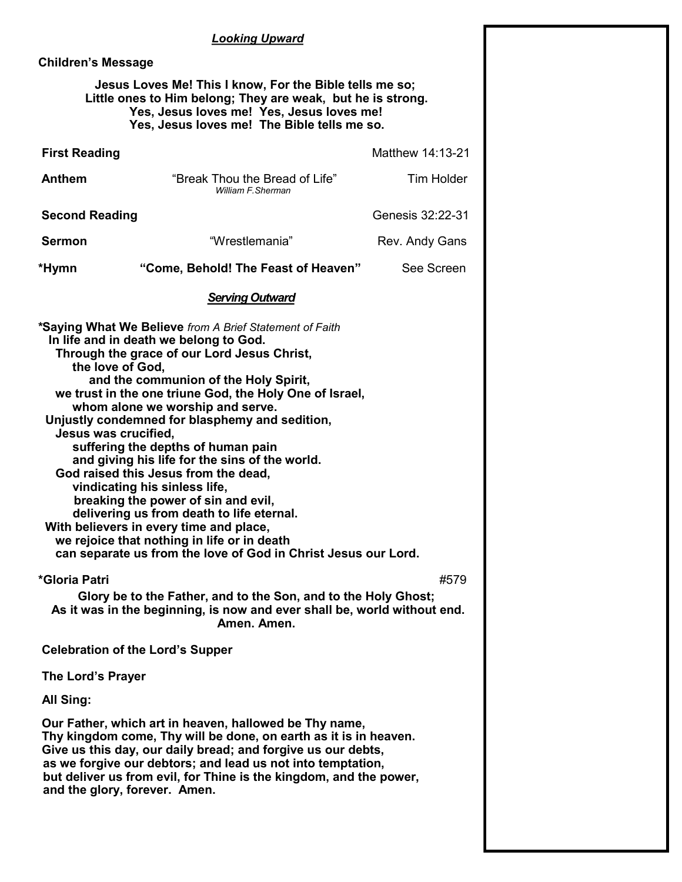#### *Looking Upward*

#### **Children's Message**

#### **Jesus Loves Me! This I know, For the Bible tells me so; Little ones to Him belong; They are weak, but he is strong. Yes, Jesus loves me! Yes, Jesus loves me! Yes, Jesus loves me! The Bible tells me so.**

| <b>First Reading</b>                                                                                                                                                                                                                                                                                                                                                                                                                                                                                                                                                                                                                                                                                                                                                                                    |                                                      | Matthew 14:13-21  |  |  |  |  |
|---------------------------------------------------------------------------------------------------------------------------------------------------------------------------------------------------------------------------------------------------------------------------------------------------------------------------------------------------------------------------------------------------------------------------------------------------------------------------------------------------------------------------------------------------------------------------------------------------------------------------------------------------------------------------------------------------------------------------------------------------------------------------------------------------------|------------------------------------------------------|-------------------|--|--|--|--|
| Anthem                                                                                                                                                                                                                                                                                                                                                                                                                                                                                                                                                                                                                                                                                                                                                                                                  | "Break Thou the Bread of Life"<br>William F. Sherman | <b>Tim Holder</b> |  |  |  |  |
| <b>Second Reading</b>                                                                                                                                                                                                                                                                                                                                                                                                                                                                                                                                                                                                                                                                                                                                                                                   | Genesis 32:22-31                                     |                   |  |  |  |  |
| <b>Sermon</b>                                                                                                                                                                                                                                                                                                                                                                                                                                                                                                                                                                                                                                                                                                                                                                                           | "Wrestlemania"                                       | Rev. Andy Gans    |  |  |  |  |
| *Hymn                                                                                                                                                                                                                                                                                                                                                                                                                                                                                                                                                                                                                                                                                                                                                                                                   | "Come, Behold! The Feast of Heaven"                  | See Screen        |  |  |  |  |
|                                                                                                                                                                                                                                                                                                                                                                                                                                                                                                                                                                                                                                                                                                                                                                                                         | <b>Serving Outward</b>                               |                   |  |  |  |  |
| *Saying What We Believe from A Brief Statement of Faith<br>In life and in death we belong to God.<br>Through the grace of our Lord Jesus Christ,<br>the love of God,<br>and the communion of the Holy Spirit,<br>we trust in the one triune God, the Holy One of Israel,<br>whom alone we worship and serve.<br>Unjustly condemned for blasphemy and sedition,<br>Jesus was crucified,<br>suffering the depths of human pain<br>and giving his life for the sins of the world.<br>God raised this Jesus from the dead,<br>vindicating his sinless life,<br>breaking the power of sin and evil,<br>delivering us from death to life eternal.<br>With believers in every time and place,<br>we rejoice that nothing in life or in death<br>can separate us from the love of God in Christ Jesus our Lord. |                                                      |                   |  |  |  |  |
| *Gloria Patri<br>#579<br>Glory be to the Father, and to the Son, and to the Holy Ghost;<br>As it was in the beginning, is now and ever shall be, world without end.<br>Amen. Amen.                                                                                                                                                                                                                                                                                                                                                                                                                                                                                                                                                                                                                      |                                                      |                   |  |  |  |  |
| <b>Celebration of the Lord's Supper</b>                                                                                                                                                                                                                                                                                                                                                                                                                                                                                                                                                                                                                                                                                                                                                                 |                                                      |                   |  |  |  |  |
| The Lord's Prayer                                                                                                                                                                                                                                                                                                                                                                                                                                                                                                                                                                                                                                                                                                                                                                                       |                                                      |                   |  |  |  |  |
| All Sing:                                                                                                                                                                                                                                                                                                                                                                                                                                                                                                                                                                                                                                                                                                                                                                                               |                                                      |                   |  |  |  |  |
| Our Father, which art in heaven, hallowed be Thy name,<br>Thy kingdom come, Thy will be done, on earth as it is in heaven.<br>Give us this day, our daily bread; and forgive us our debts,<br>as we forgive our debtors; and lead us not into temptation,<br>but deliver us from evil, for Thine is the kingdom, and the power,<br>and the glory, forever. Amen.                                                                                                                                                                                                                                                                                                                                                                                                                                        |                                                      |                   |  |  |  |  |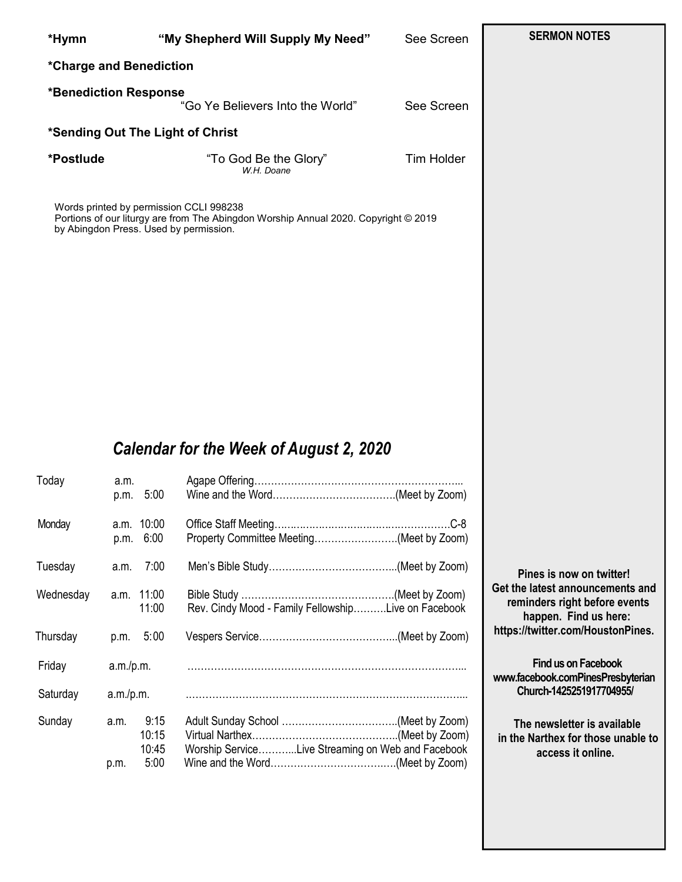| *Hymn                   |                        |                                | "My Shepherd Will Supply My Need"                                                                                                                                        | See Screen        | <b>SERMON NOTES</b>                                                                                                                                         |  |  |
|-------------------------|------------------------|--------------------------------|--------------------------------------------------------------------------------------------------------------------------------------------------------------------------|-------------------|-------------------------------------------------------------------------------------------------------------------------------------------------------------|--|--|
| *Charge and Benediction |                        |                                |                                                                                                                                                                          |                   |                                                                                                                                                             |  |  |
| *Benediction Response   |                        |                                | "Go Ye Believers Into the World"                                                                                                                                         | See Screen        |                                                                                                                                                             |  |  |
|                         |                        |                                | *Sending Out The Light of Christ                                                                                                                                         |                   |                                                                                                                                                             |  |  |
| *Postlude               |                        |                                | "To God Be the Glory"<br>W.H. Doane                                                                                                                                      | <b>Tim Holder</b> |                                                                                                                                                             |  |  |
|                         |                        |                                | Words printed by permission CCLI 998238<br>Portions of our liturgy are from The Abingdon Worship Annual 2020. Copyright © 2019<br>by Abingdon Press. Used by permission. |                   |                                                                                                                                                             |  |  |
| Today                   | a.m.                   | p.m. 5:00                      | Calendar for the Week of August 2, 2020                                                                                                                                  |                   |                                                                                                                                                             |  |  |
| Monday                  | p.m.                   | a.m. 10:00<br>6:00             | Property Committee Meeting(Meet by Zoom)                                                                                                                                 |                   |                                                                                                                                                             |  |  |
| Tuesday                 | a.m.                   | 7:00                           |                                                                                                                                                                          |                   | Pines is now on twitter!<br>Get the latest announcements and<br>reminders right before events<br>happen. Find us here:<br>https://twitter.com/HoustonPines. |  |  |
| Wednesday               |                        | a.m. 11:00<br>11:00            | Rev. Cindy Mood - Family FellowshipLive on Facebook                                                                                                                      |                   |                                                                                                                                                             |  |  |
| Thursday                | p.m.                   | 5:00                           |                                                                                                                                                                          |                   |                                                                                                                                                             |  |  |
| Friday<br>Saturday      | a.m./p.m.<br>a.m./p.m. |                                |                                                                                                                                                                          |                   | Find us on Facebook<br>www.facebook.comPinesPresbyterian<br>Church-1425251917704955/                                                                        |  |  |
| Sunday                  | a.m.<br>p.m.           | 9:15<br>10:15<br>10:45<br>5:00 | Worship ServiceLive Streaming on Web and Facebook                                                                                                                        |                   | The newsletter is available<br>in the Narthex for those unable to<br>access it online.                                                                      |  |  |